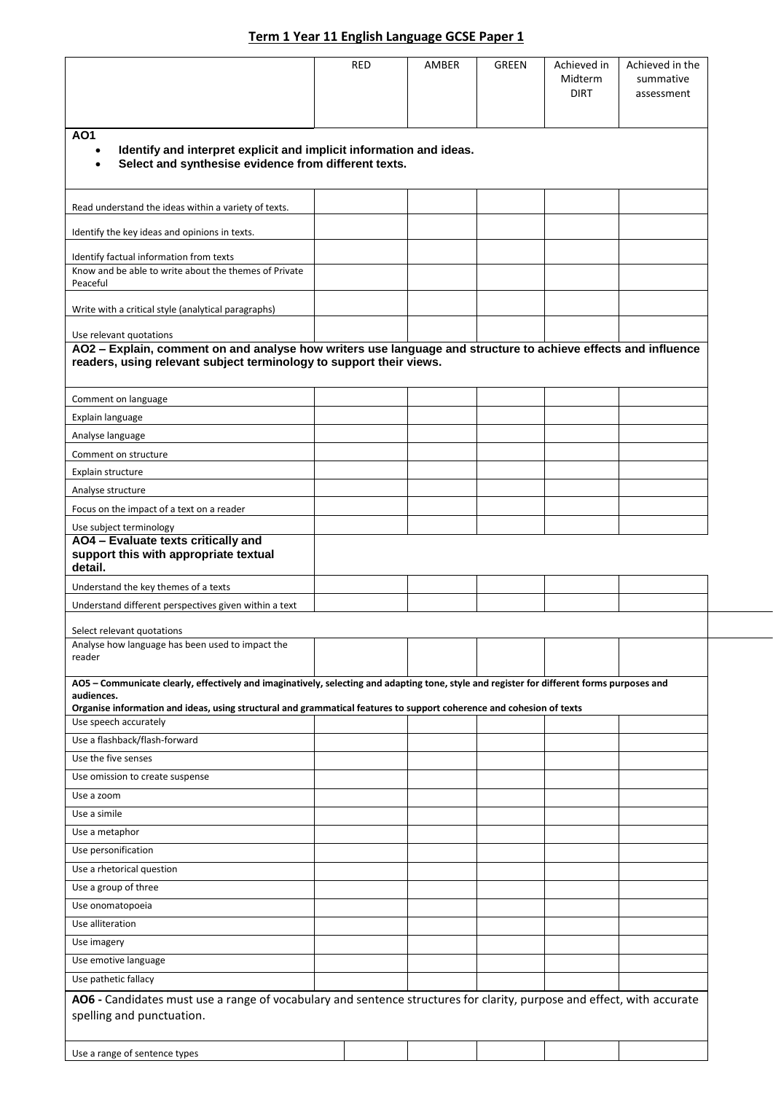## **Term 1 Year 11 English Language GCSE Paper 1**

|                                                                                                                                                                                                                                                                                                                                            | <b>RED</b> | AMBER | GREEN | Achieved in<br>Midterm<br><b>DIRT</b> | Achieved in the<br>summative<br>assessment |
|--------------------------------------------------------------------------------------------------------------------------------------------------------------------------------------------------------------------------------------------------------------------------------------------------------------------------------------------|------------|-------|-------|---------------------------------------|--------------------------------------------|
|                                                                                                                                                                                                                                                                                                                                            |            |       |       |                                       |                                            |
| AO <sub>1</sub><br>Identify and interpret explicit and implicit information and ideas.<br>Select and synthesise evidence from different texts.                                                                                                                                                                                             |            |       |       |                                       |                                            |
| Read understand the ideas within a variety of texts.                                                                                                                                                                                                                                                                                       |            |       |       |                                       |                                            |
| Identify the key ideas and opinions in texts.                                                                                                                                                                                                                                                                                              |            |       |       |                                       |                                            |
| Identify factual information from texts<br>Know and be able to write about the themes of Private<br>Peaceful                                                                                                                                                                                                                               |            |       |       |                                       |                                            |
| Write with a critical style (analytical paragraphs)                                                                                                                                                                                                                                                                                        |            |       |       |                                       |                                            |
| Use relevant quotations                                                                                                                                                                                                                                                                                                                    |            |       |       |                                       |                                            |
| AO2 - Explain, comment on and analyse how writers use language and structure to achieve effects and influence<br>readers, using relevant subject terminology to support their views.                                                                                                                                                       |            |       |       |                                       |                                            |
| Comment on language                                                                                                                                                                                                                                                                                                                        |            |       |       |                                       |                                            |
| Explain language                                                                                                                                                                                                                                                                                                                           |            |       |       |                                       |                                            |
| Analyse language                                                                                                                                                                                                                                                                                                                           |            |       |       |                                       |                                            |
| Comment on structure                                                                                                                                                                                                                                                                                                                       |            |       |       |                                       |                                            |
| Explain structure                                                                                                                                                                                                                                                                                                                          |            |       |       |                                       |                                            |
| Analyse structure                                                                                                                                                                                                                                                                                                                          |            |       |       |                                       |                                            |
| Focus on the impact of a text on a reader                                                                                                                                                                                                                                                                                                  |            |       |       |                                       |                                            |
| Use subject terminology<br>AO4 - Evaluate texts critically and<br>support this with appropriate textual<br>detail.                                                                                                                                                                                                                         |            |       |       |                                       |                                            |
| Understand the key themes of a texts                                                                                                                                                                                                                                                                                                       |            |       |       |                                       |                                            |
| Understand different perspectives given within a text                                                                                                                                                                                                                                                                                      |            |       |       |                                       |                                            |
| Select relevant quotations<br>Analyse how language has been used to impact the<br>reader                                                                                                                                                                                                                                                   |            |       |       |                                       |                                            |
| AO5 - Communicate clearly, effectively and imaginatively, selecting and adapting tone, style and register for different forms purposes and<br>audiences.<br>Organise information and ideas, using structural and grammatical features to support coherence and cohesion of texts<br>Use speech accurately<br>Use a flashback/flash-forward |            |       |       |                                       |                                            |
| Use the five senses                                                                                                                                                                                                                                                                                                                        |            |       |       |                                       |                                            |
| Use omission to create suspense                                                                                                                                                                                                                                                                                                            |            |       |       |                                       |                                            |
| Use a zoom                                                                                                                                                                                                                                                                                                                                 |            |       |       |                                       |                                            |
| Use a simile                                                                                                                                                                                                                                                                                                                               |            |       |       |                                       |                                            |
| Use a metaphor                                                                                                                                                                                                                                                                                                                             |            |       |       |                                       |                                            |
| Use personification                                                                                                                                                                                                                                                                                                                        |            |       |       |                                       |                                            |
| Use a rhetorical question                                                                                                                                                                                                                                                                                                                  |            |       |       |                                       |                                            |
| Use a group of three                                                                                                                                                                                                                                                                                                                       |            |       |       |                                       |                                            |
| Use onomatopoeia                                                                                                                                                                                                                                                                                                                           |            |       |       |                                       |                                            |
| Use alliteration                                                                                                                                                                                                                                                                                                                           |            |       |       |                                       |                                            |
| Use imagery                                                                                                                                                                                                                                                                                                                                |            |       |       |                                       |                                            |
| Use emotive language                                                                                                                                                                                                                                                                                                                       |            |       |       |                                       |                                            |
| Use pathetic fallacy                                                                                                                                                                                                                                                                                                                       |            |       |       |                                       |                                            |
| AO6 - Candidates must use a range of vocabulary and sentence structures for clarity, purpose and effect, with accurate<br>spelling and punctuation.                                                                                                                                                                                        |            |       |       |                                       |                                            |
| Use a range of sentence types                                                                                                                                                                                                                                                                                                              |            |       |       |                                       |                                            |